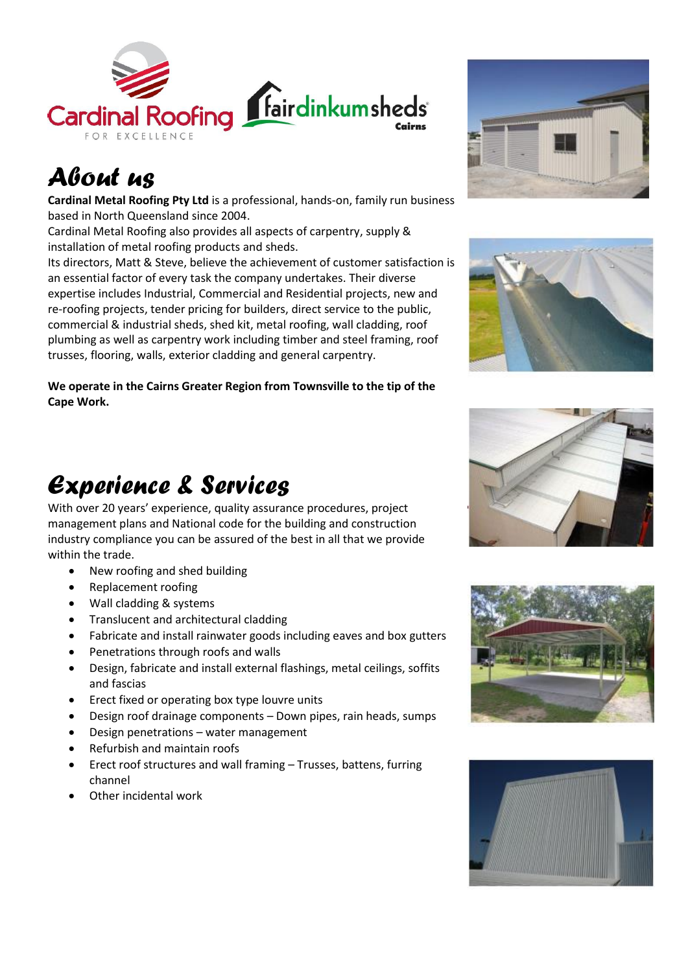

# *About us*

**Cardinal Metal Roofing Pty Ltd** is a professional, hands-on, family run business based in North Queensland since 2004.

Cardinal Metal Roofing also provides all aspects of carpentry, supply & installation of metal roofing products and sheds.

Its directors, Matt & Steve, believe the achievement of customer satisfaction is an essential factor of every task the company undertakes. Their diverse expertise includes Industrial, Commercial and Residential projects, new and re-roofing projects, tender pricing for builders, direct service to the public, commercial & industrial sheds, shed kit, metal roofing, wall cladding, roof plumbing as well as carpentry work including timber and steel framing, roof trusses, flooring, walls, exterior cladding and general carpentry.

**We operate in the Cairns Greater Region from Townsville to the tip of the Cape Work.**

#### *Experience & Services*

With over 20 years' experience, quality assurance procedures, project management plans and National code for the building and construction industry compliance you can be assured of the best in all that we provide within the trade.

- New roofing and shed building
- Replacement roofing
- Wall cladding & systems
- Translucent and architectural cladding
- Fabricate and install rainwater goods including eaves and box gutters
- Penetrations through roofs and walls
- Design, fabricate and install external flashings, metal ceilings, soffits and fascias
- Erect fixed or operating box type louvre units
- Design roof drainage components Down pipes, rain heads, sumps
- Design penetrations water management
- Refurbish and maintain roofs
- Erect roof structures and wall framing Trusses, battens, furring channel
- Other incidental work